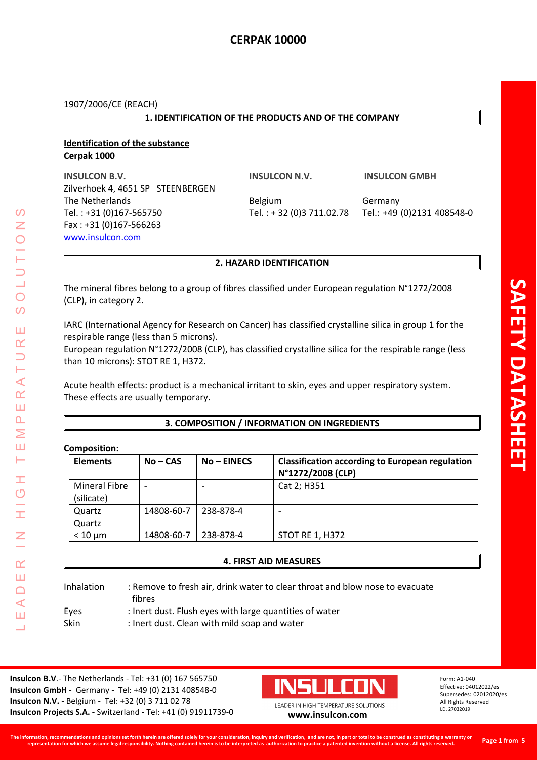## **1. IDENTIFICATION OF THE PRODUCTS AND OF THE COMPANY**

## **Identification of the substance Cerpak 1000**

**INSULCON B.V. INSULCON N.V. INSULCON GMBH** Zilverhoek 4, 4651 SP STEENBERGEN The Netherlands **Belgium** Belgium Germany Tel. : +31 (0)167-565750 Tel. : + 32 (0)3 711.02.78 Tel.: +49 (0)2131 408548-0 Fax : +31 (0)167-566263 [www.insulcon.com](http://www.insulcon.com/)

## **2. HAZARD IDENTIFICATION**

The mineral fibres belong to a group of fibres classified under European regulation N°1272/2008 (CLP), in category 2.

IARC (International Agency for Research on Cancer) has classified crystalline silica in group 1 for the respirable range (less than 5 microns).

European regulation N°1272/2008 (CLP), has classified crystalline silica for the respirable range (less than 10 microns): STOT RE 1, H372.

Acute health effects: product is a mechanical irritant to skin, eyes and upper respiratory system. These effects are usually temporary.

## **3. COMPOSITION / INFORMATION ON INGREDIENTS**

## **Composition:**

LEADER IN HIGH TEMPERATURE SOLUTIONS

Ŧ  $\overline{O}$ 

I

 $\alpha$ Ш  $\Box$  $\blacktriangleleft$ Ш  $\overline{\phantom{0}}$ 

 $\prec$  $\alpha$ Ш  $\overline{\mathbf{r}}$ Σ Ш ⊢

 $\Omega$ Z

 $\bigcirc$  $\overline{O}$ 

Ш  $\alpha$ 

| <b>Elements</b>      | $No - CAS$ | $No$ – EINECS            | <b>Classification according to European regulation</b><br>N°1272/2008 (CLP) |
|----------------------|------------|--------------------------|-----------------------------------------------------------------------------|
| <b>Mineral Fibre</b> | ۰          | $\overline{\phantom{0}}$ | Cat 2; H351                                                                 |
| (silicate)           |            |                          |                                                                             |
| Quartz               | 14808-60-7 | 238-878-4                | $\overline{\phantom{0}}$                                                    |
| Quartz               |            |                          |                                                                             |
| $< 10 \mu m$         | 14808-60-7 | 238-878-4                | <b>STOT RE 1, H372</b>                                                      |

## **4. FIRST AID MEASURES**

| Inhalation | : Remove to fresh air, drink water to clear throat and blow nose to evacuate<br>fibres |
|------------|----------------------------------------------------------------------------------------|
| Eyes       | : Inert dust. Flush eyes with large quantities of water                                |
| Skin       | : Inert dust. Clean with mild soap and water                                           |

**Insulcon B.V**.- The Netherlands - Tel: +31 (0) 167 565750 **Insulcon GmbH** - Germany - Tel: +49 (0) 2131 408548-0 **Insulcon N.V.** - Belgium - Tel: +32 (0) 3 711 02 78 **Insulcon Projects S.A. -** Switzerland **-** Tel: +41 (0) 91911739-0 **[www.insulcon.com](http://www.insulcon.com/)**

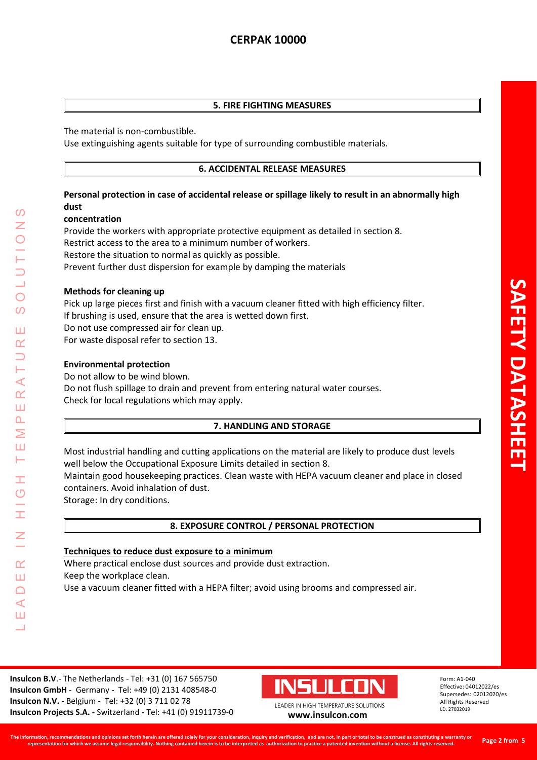## **5. FIRE FIGHTING MEASURES**

The material is non-combustible.

Use extinguishing agents suitable for type of surrounding combustible materials.

## **6. ACCIDENTAL RELEASE MEASURES**

## **Personal protection in case of accidental release or spillage likely to result in an abnormally high dust**

## **concentration**

Provide the workers with appropriate protective equipment as detailed in section 8. Restrict access to the area to a minimum number of workers. Restore the situation to normal as quickly as possible. Prevent further dust dispersion for example by damping the materials

## **Methods for cleaning up**

Pick up large pieces first and finish with a vacuum cleaner fitted with high efficiency filter. If brushing is used, ensure that the area is wetted down first. Do not use compressed air for clean up. For waste disposal refer to section 13.

## **Environmental protection**

LEADER IN HIGH TEMPERATURE SOLUTIONS

Ŧ  $\overline{O}$ 

 $\alpha$ Ш  $\Box$  $\blacktriangleleft$ Ш  $\overline{\phantom{0}}$ 

 $\prec$  $\alpha$ Ш  $\overline{\mathbf{r}}$ Σ Ш ⊢

 $\mathcal{O}$ 

 $\overline{O}$ 

 $\Omega$ 

Ш  $\alpha$ 

> Do not allow to be wind blown. Do not flush spillage to drain and prevent from entering natural water courses. Check for local regulations which may apply.

## **7. HANDLING AND STORAGE**

Most industrial handling and cutting applications on the material are likely to produce dust levels well below the Occupational Exposure Limits detailed in section 8.

Maintain good housekeeping practices. Clean waste with HEPA vacuum cleaner and place in closed containers. Avoid inhalation of dust.

Storage: In dry conditions.

## **8. EXPOSURE CONTROL / PERSONAL PROTECTION**

## **Techniques to reduce dust exposure to a minimum**

Where practical enclose dust sources and provide dust extraction.

Keep the workplace clean.

Use a vacuum cleaner fitted with a HEPA filter; avoid using brooms and compressed air.

**Insulcon B.V**.- The Netherlands - Tel: +31 (0) 167 565750 **Insulcon GmbH** - Germany - Tel: +49 (0) 2131 408548-0 **Insulcon N.V.** - Belgium - Tel: +32 (0) 3 711 02 78 **Insulcon Projects S.A. -** Switzerland **-** Tel: +41 (0) 91911739-0 **[www.insulcon.com](http://www.insulcon.com/)**



LEADER IN HIGH TEMPERATURE SOLUTIONS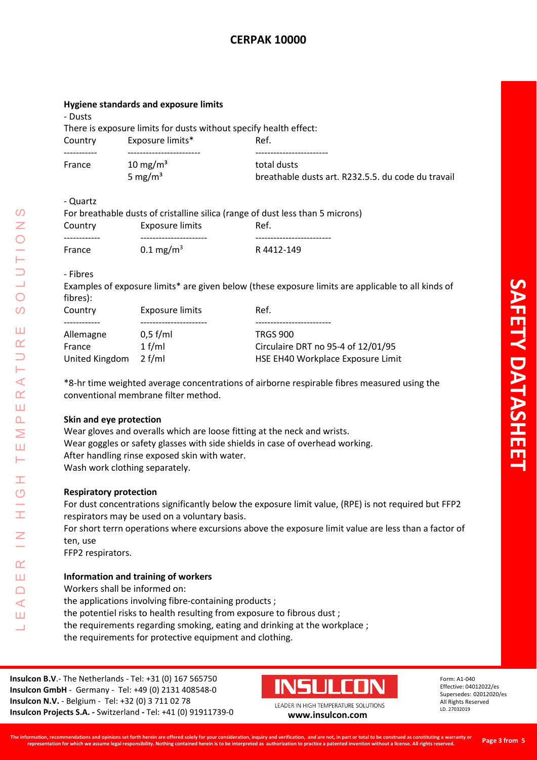## **Hygiene standards and exposure limits**

- Dusts

There is exposure limits for dusts without specify health effect:

| Country | Exposure limits*    | Ref.                                               |
|---------|---------------------|----------------------------------------------------|
|         |                     |                                                    |
| France  | $10 \text{ mg/m}^3$ | total dusts                                        |
|         | 5 mg/m <sup>3</sup> | breathable dusts art. R232.5.5. du code du travail |

- Quartz

| Quurt   |                         |                                                                                |
|---------|-------------------------|--------------------------------------------------------------------------------|
|         |                         | For breathable dusts of cristalline silica (range of dust less than 5 microns) |
| Country | Exposure limits         | Ref.                                                                           |
|         |                         |                                                                                |
| France  | $0.1 \,\mathrm{mg/m^3}$ | R4412-149                                                                      |

- Fibres

LEADER IN HIGH TEMPERATURE SOLUTIONS

Ŧ  $\overline{O}$ 

I

 $\alpha$ Ш  $\Box$  $\blacktriangleleft$ Ш ┙

 $\prec$  $\underline{\alpha}$ Ш  $\Delta$ Σ Ш Н

 $\Omega$ Z

 $\bigcirc$  $\Omega$ 

Ш  $\alpha$ 

Examples of exposure limits\* are given below (these exposure limits are applicable to all kinds of fibres):

| Country        | Exposure limits | Ref.                               |
|----------------|-----------------|------------------------------------|
|                |                 |                                    |
| Allemagne      | $0.5$ f/ml      | <b>TRGS 900</b>                    |
| France         | $1$ f/ml        | Circulaire DRT no 95-4 of 12/01/95 |
| United Kingdom | $2$ f/ml        | HSE EH40 Workplace Exposure Limit  |
|                |                 |                                    |

\*8-hr time weighted average concentrations of airborne respirable fibres measured using the conventional membrane filter method.

## **Skin and eye protection**

Wear gloves and overalls which are loose fitting at the neck and wrists. Wear goggles or safety glasses with side shields in case of overhead working. After handling rinse exposed skin with water. Wash work clothing separately.

## **Respiratory protection**

For dust concentrations significantly below the exposure limit value, (RPE) is not required but FFP2 respirators may be used on a voluntary basis.

For short terrn operations where excursions above the exposure limit value are less than a factor of ten, use

FFP2 respirators.

## **Information and training of workers**

Workers shall be informed on:

- the applications involving fibre-containing products ;
- the potentiel risks to health resulting from exposure to fibrous dust ;
- the requirements regarding smoking, eating and drinking at the workplace ;
- the requirements for protective equipment and clothing.

**Insulcon B.V**.- The Netherlands - Tel: +31 (0) 167 565750 **Insulcon GmbH** - Germany - Tel: +49 (0) 2131 408548-0 **Insulcon N.V.** - Belgium - Tel: +32 (0) 3 711 02 78 **Insulcon Projects S.A. -** Switzerland **-** Tel: +41 (0) 91911739-0 **[www.insulcon.com](http://www.insulcon.com/)**

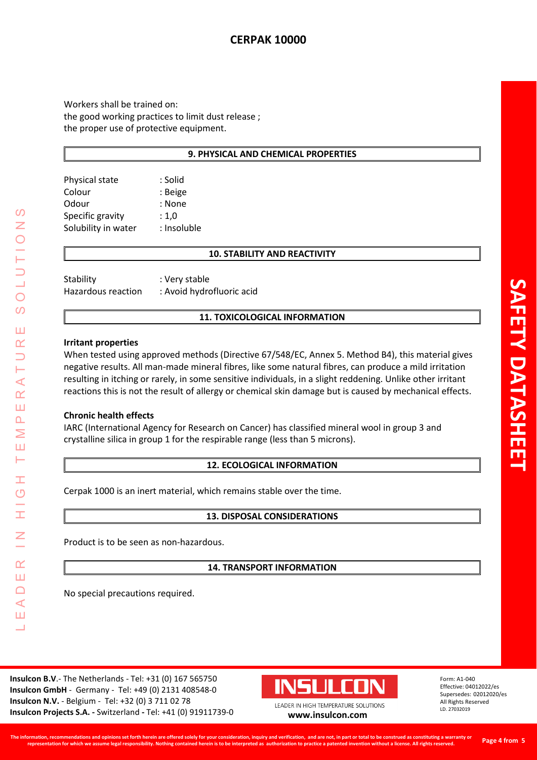# **CERPAK 10000**

Workers shall be trained on: the good working practices to limit dust release ; the proper use of protective equipment.

### **9. PHYSICAL AND CHEMICAL PROPERTIES**

| Physical state      | : Solid     |
|---------------------|-------------|
| Colour              | : Beige     |
| Odour               | : None      |
| Specific gravity    | : 1,0       |
| Solubility in water | : Insoluble |
|                     |             |

# **10. STABILITY AND REACTIVITY**

| Stability          | : Very stable             |
|--------------------|---------------------------|
| Hazardous reaction | : Avoid hydrofluoric acid |

### **11. TOXICOLOGICAL INFORMATION**

### **Irritant properties**

When tested using approved methods (Directive 67/548/EC, Annex 5. Method B4), this material gives negative results. All man-made mineral fibres, like some natural fibres, can produce a mild irritation resulting in itching or rarely, in some sensitive individuals, in a slight reddening. Unlike other irritant reactions this is not the result of allergy or chemical skin damage but is caused by mechanical effects.

### **Chronic health effects**

LEADER IN HIGH TEMPERATURE SOLUTIONS

Ŧ  $\overline{O}$ 

I

 $\alpha$ Ш  $\Box$  $\prec$ Ш <u>a a</u>

 $\prec$  $\alpha$ Ш  $\overline{\mathbf{r}}$ Σ Ш ⊢

 $\Omega$ Z

 $\bigcirc$  $\Omega$ 

Ш  $\alpha$ 

> IARC (International Agency for Research on Cancer) has classified mineral wool in group 3 and crystalline silica in group 1 for the respirable range (less than 5 microns).

#### **12. ECOLOGICAL INFORMATION**

Cerpak 1000 is an inert material, which remains stable over the time.

### **13. DISPOSAL CONSIDERATIONS**

Product is to be seen as non-hazardous.

**14. TRANSPORT INFORMATION**

No special precautions required.

**Insulcon B.V**.- The Netherlands - Tel: +31 (0) 167 565750 **Insulcon GmbH** - Germany - Tel: +49 (0) 2131 408548-0 **Insulcon N.V.** - Belgium - Tel: +32 (0) 3 711 02 78 **Insulcon Projects S.A. -** Switzerland **-** Tel: +41 (0) 91911739-0 **[www.insulcon.com](http://www.insulcon.com/)**